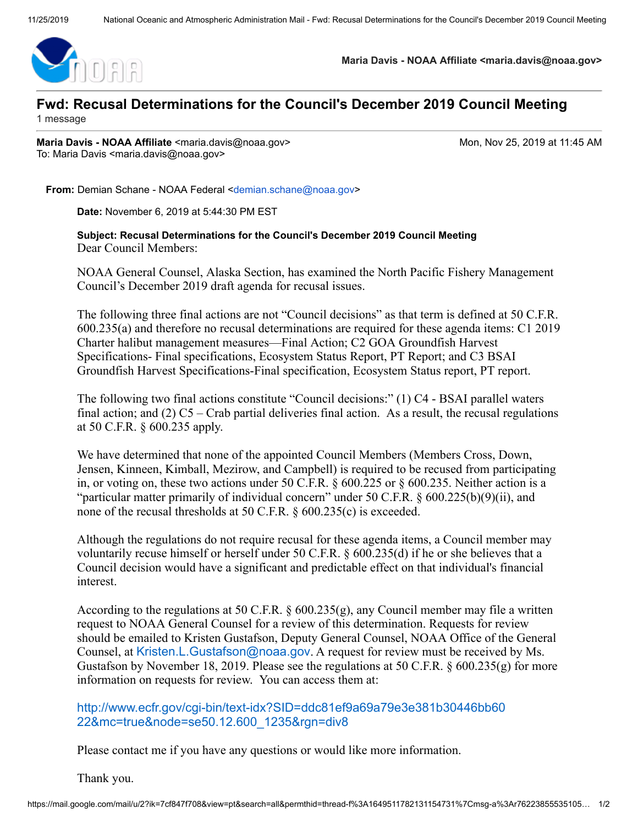

**Maria Davis - NOAA Affiliate <maria.davis@noaa.gov>**

## **Fwd: Recusal Determinations for the Council's December 2019 Council Meeting**

1 message

**Maria Davis - NOAA Affiliate** <maria.davis@noaa.gov> Mon, Mon, Nov 25, 2019 at 11:45 AM To: Maria Davis <maria.davis@noaa.gov>

**From:** Demian Schane - NOAA Federal [<demian.schane@noaa.gov](mailto:demian.schane@noaa.gov)>

**Date:** November 6, 2019 at 5:44:30 PM EST

**Subject: Recusal Determinations for the Council's December 2019 Council Meeting** Dear Council Members:

NOAA General Counsel, Alaska Section, has examined the North Pacific Fishery Management Council's December 2019 draft agenda for recusal issues.

The following three final actions are not "Council decisions" as that term is defined at 50 C.F.R. 600.235(a) and therefore no recusal determinations are required for these agenda items: C1 2019 Charter halibut management measures—Final Action; C2 GOA Groundfish Harvest Specifications- Final specifications, Ecosystem Status Report, PT Report; and C3 BSAI Groundfish Harvest Specifications-Final specification, Ecosystem Status report, PT report.

The following two final actions constitute "Council decisions:" (1) C4 - BSAI parallel waters final action; and  $(2)$  C5 – Crab partial deliveries final action. As a result, the recusal regulations at 50 C.F.R. § 600.235 apply.

We have determined that none of the appointed Council Members (Members Cross, Down, Jensen, Kinneen, Kimball, Mezirow, and Campbell) is required to be recused from participating in, or voting on, these two actions under 50 C.F.R. § 600.225 or § 600.235. Neither action is a "particular matter primarily of individual concern" under 50 C.F.R. § 600.225(b)(9)(ii), and none of the recusal thresholds at 50 C.F.R. § 600.235(c) is exceeded.

Although the regulations do not require recusal for these agenda items, a Council member may voluntarily recuse himself or herself under 50 C.F.R. § 600.235(d) if he or she believes that a Council decision would have a significant and predictable effect on that individual's financial interest.

According to the regulations at 50 C.F.R. §  $600.235(g)$ , any Council member may file a written request to NOAA General Counsel for a review of this determination. Requests for review should be emailed to Kristen Gustafson, Deputy General Counsel, NOAA Office of the General Counsel, at [Kristen.L.Gustafson@noaa.gov](mailto:Kristen.L.Gustafson@noaa.gov). A request for review must be received by Ms. Gustafson by November 18, 2019. Please see the regulations at 50 C.F.R.  $\S 600.235(g)$  for more information on requests for review. You can access them at:

[http://www.ecfr.gov/cgi-bin/text-idx?SID=ddc81ef9a69a79e3e381b30446bb60](http://www.ecfr.gov/cgi-bin/text-idx?SID=ddc81ef9a69a79e3e381b30446bb6022&mc=true&node=se50.12.600_1235&rgn=div8) 22&mc=true&node=se50.12.600\_1235&rgn=div8

Please contact me if you have any questions or would like more information.

Thank you.